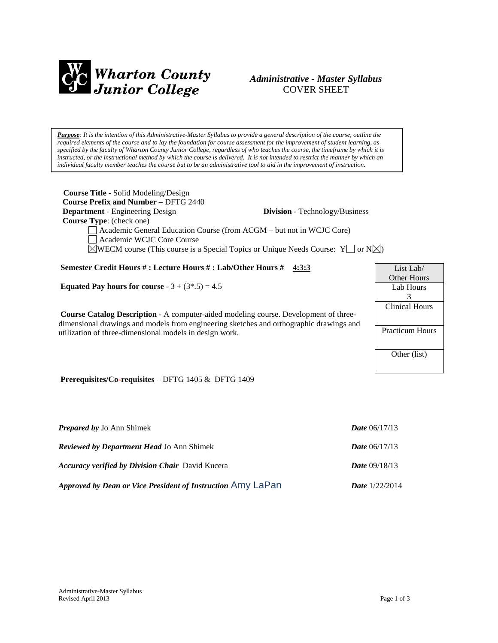

# *Administrative - Master Syllabus*  COVER SHEET

*Purpose: It is the intention of this Administrative-Master Syllabus to provide a general description of the course, outline the required elements of the course and to lay the foundation for course assessment for the improvement of student learning, as specified by the faculty of Wharton County Junior College, regardless of who teaches the course, the timeframe by which it is instructed, or the instructional method by which the course is delivered. It is not intended to restrict the manner by which an individual faculty member teaches the course but to be an administrative tool to aid in the improvement of instruction.*

| <b>Course Title</b> - Solid Modeling/Design<br><b>Course Prefix and Number – DFTG 2440</b><br><b>Department</b> - Engineering Design<br>Course Type: (check one)<br>Academic General Education Course (from ACGM – but not in WCJC Core)<br>Academic WCJC Core Course<br>$\triangle$ WECM course (This course is a Special Topics or Unique Needs Course: Y $\Box$ or N $\triangle$ ) | <b>Division</b> - Technology/Business |                            |
|---------------------------------------------------------------------------------------------------------------------------------------------------------------------------------------------------------------------------------------------------------------------------------------------------------------------------------------------------------------------------------------|---------------------------------------|----------------------------|
| Semester Credit Hours #: Lecture Hours #: Lab/Other Hours # 4:3:3                                                                                                                                                                                                                                                                                                                     |                                       | List Lab/                  |
| Equated Pay hours for course - $3 + (3*, 5) = 4.5$<br><b>Course Catalog Description - A computer-aided modeling course. Development of three-</b><br>dimensional drawings and models from engineering sketches and orthographic drawings and                                                                                                                                          |                                       | Other Hours                |
|                                                                                                                                                                                                                                                                                                                                                                                       |                                       | Lab Hours                  |
|                                                                                                                                                                                                                                                                                                                                                                                       |                                       | 3<br><b>Clinical Hours</b> |
| utilization of three-dimensional models in design work.                                                                                                                                                                                                                                                                                                                               |                                       | <b>Practicum Hours</b>     |
|                                                                                                                                                                                                                                                                                                                                                                                       |                                       | Other (list)               |
| Prerequisites/Co-requisites - DFTG 1405 & DFTG 1409                                                                                                                                                                                                                                                                                                                                   |                                       |                            |

| <b>Prepared by Jo Ann Shimek</b>                            | <b>Date</b> $06/17/13$  |
|-------------------------------------------------------------|-------------------------|
| <b>Reviewed by Department Head Jo Ann Shimek</b>            | <b>Date</b> $06/17/13$  |
| <b>Accuracy verified by Division Chair</b> David Kucera     | <b>Date</b> $09/18/13$  |
| Approved by Dean or Vice President of Instruction Amy LaPan | <b>Date</b> $1/22/2014$ |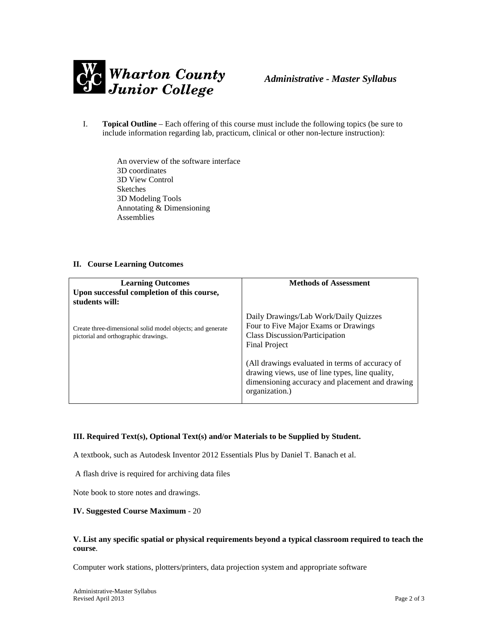

I. **Topical Outline** – Each offering of this course must include the following topics (be sure to include information regarding lab, practicum, clinical or other non-lecture instruction):

> An overview of the software interface 3D coordinates 3D View Control Sketches 3D Modeling Tools Annotating & Dimensioning Assemblies

#### **II. Course Learning Outcomes**

| <b>Learning Outcomes</b><br>Upon successful completion of this course,<br>students will:           | <b>Methods of Assessment</b>                                                                                                                                            |
|----------------------------------------------------------------------------------------------------|-------------------------------------------------------------------------------------------------------------------------------------------------------------------------|
| Create three-dimensional solid model objects; and generate<br>pictorial and orthographic drawings. | Daily Drawings/Lab Work/Daily Quizzes<br>Four to Five Major Exams or Drawings<br>Class Discussion/Participation<br><b>Final Project</b>                                 |
|                                                                                                    | (All drawings evaluated in terms of accuracy of<br>drawing views, use of line types, line quality,<br>dimensioning accuracy and placement and drawing<br>organization.) |

# **III. Required Text(s), Optional Text(s) and/or Materials to be Supplied by Student.**

A textbook, such as Autodesk Inventor 2012 Essentials Plus by Daniel T. Banach et al.

A flash drive is required for archiving data files

Note book to store notes and drawings.

#### **IV. Suggested Course Maximum** - 20

## **V. List any specific spatial or physical requirements beyond a typical classroom required to teach the course**.

Computer work stations, plotters/printers, data projection system and appropriate software